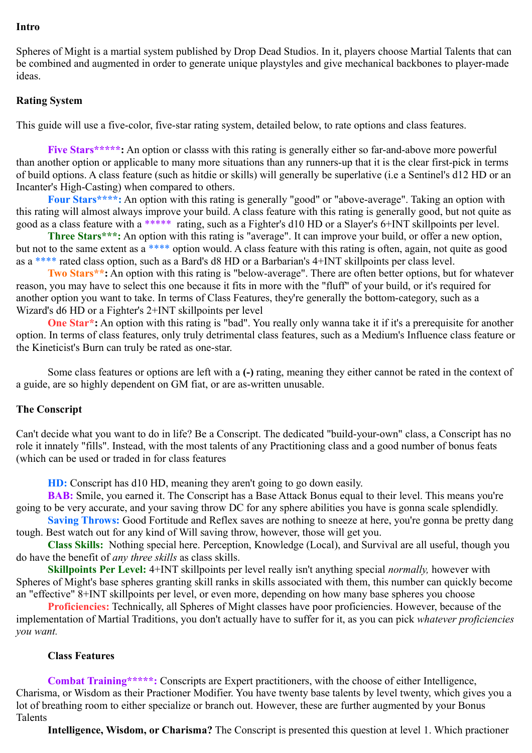### **Intro**

Spheres of Might is a martial system published by Drop Dead Studios. In it, players choose Martial Talents that can be combined and augmented in order to generate unique playstyles and give mechanical backbones to player-made ideas.

# **Rating System**

This guide will use a five-color, five-star rating system, detailed below, to rate options and class features.

**Five Stars\*\*\*\*\*:** An option or classs with this rating is generally either so far-and-above more powerful than another option or applicable to many more situations than any runners-up that it is the clear first-pick in terms of build options. A class feature (such as hitdie or skills) will generally be superlative (i.e a Sentinel's d12 HD or an Incanter's High-Casting) when compared to others.

**Four Stars\*\*\*\*:** An option with this rating is generally "good" or "above-average". Taking an option with this rating will almost always improve your build. A class feature with this rating is generally good, but not quite as good as a class feature with a \*\*\*\*\* rating, such as a Fighter's d10 HD or a Slayer's 6+INT skillpoints per level.

**Three Stars\*\*\*:** An option with this rating is "average". It can improve your build, or offer a new option, but not to the same extent as a \*\*\*\* option would. A class feature with this rating is often, again, not quite as good as a \*\*\*\* rated class option, such as a Bard's d8 HD or a Barbarian's 4+INT skillpoints per class level.

**Two Stars\*\*:** An option with this rating is "below-average". There are often better options, but for whatever reason, you may have to select this one because it fits in more with the "fluff" of your build, or it's required for another option you want to take. In terms of Class Features, they're generally the bottom-category, such as a Wizard's d6 HD or a Fighter's 2+INT skillpoints per level

**One Star<sup>\*</sup>:** An option with this rating is "bad". You really only wanna take it if it's a prerequisite for another option. In terms of class features, only truly detrimental class features, such as a Medium's Influence class feature or the Kineticist's Burn can truly be rated as one-star.

Some class features or options are left with a **(-)** rating, meaning they either cannot be rated in the context of a guide, are so highly dependent on GM fiat, or are as-written unusable.

# **The Conscript**

Can't decide what you want to do in life? Be a Conscript. The dedicated "build-your-own" class, a Conscript has no role it innately "fills". Instead, with the most talents of any Practitioning class and a good number of bonus feats (which can be used or traded in for class features

**HD:** Conscript has d10 HD, meaning they aren't going to go down easily.

**BAB:** Smile, you earned it. The Conscript has a Base Attack Bonus equal to their level. This means you're going to be very accurate, and your saving throw DC for any sphere abilities you have is gonna scale splendidly.

**Saving Throws:** Good Fortitude and Reflex saves are nothing to sneeze at here, you're gonna be pretty dang tough. Best watch out for any kind of Will saving throw, however, those will get you.

**Class Skills:** Nothing special here. Perception, Knowledge (Local), and Survival are all useful, though you do have the benefit of *any three skills* as class skills.

**Skillpoints Per Level:** 4+INT skillpoints per level really isn't anything special *normally,* however with Spheres of Might's base spheres granting skill ranks in skills associated with them, this number can quickly become an "effective" 8+INT skillpoints per level, or even more, depending on how many base spheres you choose

**Proficiencies:** Technically, all Spheres of Might classes have poor proficiencies. However, because of the implementation of Martial Traditions, you don't actually have to suffer for it, as you can pick *whatever proficiencies you want.* 

# **Class Features**

**Combat Training\*\*\*\*\*:** Conscripts are Expert practitioners, with the choose of either Intelligence, Charisma, or Wisdom as their Practioner Modifier. You have twenty base talents by level twenty, which gives you a lot of breathing room to either specialize or branch out. However, these are further augmented by your Bonus Talents

**Intelligence, Wisdom, or Charisma?** The Conscript is presented this question at level 1. Which practioner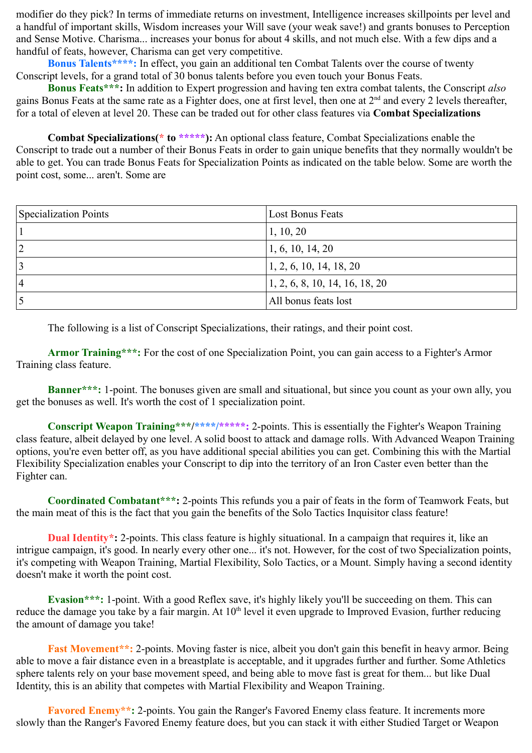modifier do they pick? In terms of immediate returns on investment, Intelligence increases skillpoints per level and a handful of important skills, Wisdom increases your Will save (your weak save!) and grants bonuses to Perception and Sense Motive. Charisma... increases your bonus for about 4 skills, and not much else. With a few dips and a handful of feats, however, Charisma can get very competitive.

**Bonus Talents\*\*\*\*:** In effect, you gain an additional ten Combat Talents over the course of twenty Conscript levels, for a grand total of 30 bonus talents before you even touch your Bonus Feats.

**Bonus Feats\*\*\*:** In addition to Expert progression and having ten extra combat talents, the Conscript *also*  gains Bonus Feats at the same rate as a Fighter does, one at first level, then one at  $2<sup>nd</sup>$  and every 2 levels thereafter, for a total of eleven at level 20. These can be traded out for other class features via **Combat Specializations**

**Combat Specializations(\* to \*\*\*\*\*):** An optional class feature, Combat Specializations enable the Conscript to trade out a number of their Bonus Feats in order to gain unique benefits that they normally wouldn't be able to get. You can trade Bonus Feats for Specialization Points as indicated on the table below. Some are worth the point cost, some... aren't. Some are

| Specialization Points | Lost Bonus Feats                             |
|-----------------------|----------------------------------------------|
|                       | 1, 10, 20                                    |
|                       | $\vert 1, 6, 10, 14, 20 \vert$               |
|                       | $\vert 1, 2, 6, 10, 14, 18, 20 \vert$        |
| $^{\circ}$ 4          | $\vert 1, 2, 6, 8, 10, 14, 16, 18, 20 \vert$ |
|                       | All bonus feats lost                         |

The following is a list of Conscript Specializations, their ratings, and their point cost.

**Armor Training\*\*\*:** For the cost of one Specialization Point, you can gain access to a Fighter's Armor Training class feature.

**Banner\*\*\*:** 1-point. The bonuses given are small and situational, but since you count as your own ally, you get the bonuses as well. It's worth the cost of 1 specialization point.

**Conscript Weapon Training\*\*\*/\*\*\*\*/\*\*\*\*\*:** 2-points. This is essentially the Fighter's Weapon Training class feature, albeit delayed by one level. A solid boost to attack and damage rolls. With Advanced Weapon Training options, you're even better off, as you have additional special abilities you can get. Combining this with the Martial Flexibility Specialization enables your Conscript to dip into the territory of an Iron Caster even better than the Fighter can.

**Coordinated Combatant\*\*\*:** 2-points This refunds you a pair of feats in the form of Teamwork Feats, but the main meat of this is the fact that you gain the benefits of the Solo Tactics Inquisitor class feature!

**Dual Identity\*:** 2-points. This class feature is highly situational. In a campaign that requires it, like an intrigue campaign, it's good. In nearly every other one... it's not. However, for the cost of two Specialization points, it's competing with Weapon Training, Martial Flexibility, Solo Tactics, or a Mount. Simply having a second identity doesn't make it worth the point cost.

**Evasion\*\*\*:** 1-point. With a good Reflex save, it's highly likely you'll be succeeding on them. This can reduce the damage you take by a fair margin. At 10<sup>th</sup> level it even upgrade to Improved Evasion, further reducing the amount of damage you take!

**Fast Movement\*\*:** 2-points. Moving faster is nice, albeit you don't gain this benefit in heavy armor. Being able to move a fair distance even in a breastplate is acceptable, and it upgrades further and further. Some Athletics sphere talents rely on your base movement speed, and being able to move fast is great for them... but like Dual Identity, this is an ability that competes with Martial Flexibility and Weapon Training.

**Favored Enemy\*\*:** 2-points. You gain the Ranger's Favored Enemy class feature. It increments more slowly than the Ranger's Favored Enemy feature does, but you can stack it with either Studied Target or Weapon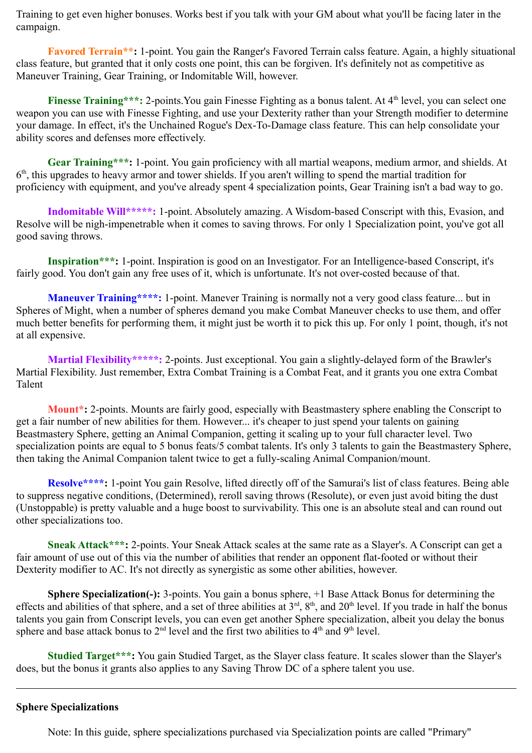Training to get even higher bonuses. Works best if you talk with your GM about what you'll be facing later in the campaign.

**Favored Terrain\*\*:** 1-point. You gain the Ranger's Favored Terrain calss feature. Again, a highly situational class feature, but granted that it only costs one point, this can be forgiven. It's definitely not as competitive as Maneuver Training, Gear Training, or Indomitable Will, however.

**Finesse Training\*\*\*:** 2-points. You gain Finesse Fighting as a bonus talent. At 4<sup>th</sup> level, you can select one weapon you can use with Finesse Fighting, and use your Dexterity rather than your Strength modifier to determine your damage. In effect, it's the Unchained Rogue's Dex-To-Damage class feature. This can help consolidate your ability scores and defenses more effectively.

**Gear Training\*\*\*:** 1-point. You gain proficiency with all martial weapons, medium armor, and shields. At 6 th, this upgrades to heavy armor and tower shields. If you aren't willing to spend the martial tradition for proficiency with equipment, and you've already spent 4 specialization points, Gear Training isn't a bad way to go.

**Indomitable Will\*\*\*\*\*:** 1-point. Absolutely amazing. A Wisdom-based Conscript with this, Evasion, and Resolve will be nigh-impenetrable when it comes to saving throws. For only 1 Specialization point, you've got all good saving throws.

**Inspiration\*\*\*:** 1-point. Inspiration is good on an Investigator. For an Intelligence-based Conscript, it's fairly good. You don't gain any free uses of it, which is unfortunate. It's not over-costed because of that.

**Maneuver Training\*\*\*\*:** 1-point. Manever Training is normally not a very good class feature... but in Spheres of Might, when a number of spheres demand you make Combat Maneuver checks to use them, and offer much better benefits for performing them, it might just be worth it to pick this up. For only 1 point, though, it's not at all expensive.

**Martial Flexibility\*\*\*\*\*:** 2-points. Just exceptional. You gain a slightly-delayed form of the Brawler's Martial Flexibility. Just remember, Extra Combat Training is a Combat Feat, and it grants you one extra Combat Talent

**Mount\*:** 2-points. Mounts are fairly good, especially with Beastmastery sphere enabling the Conscript to get a fair number of new abilities for them. However... it's cheaper to just spend your talents on gaining Beastmastery Sphere, getting an Animal Companion, getting it scaling up to your full character level. Two specialization points are equal to 5 bonus feats/5 combat talents. It's only 3 talents to gain the Beastmastery Sphere, then taking the Animal Companion talent twice to get a fully-scaling Animal Companion/mount.

**Resolve\*\*\*\*:** 1-point You gain Resolve, lifted directly off of the Samurai's list of class features. Being able to suppress negative conditions, (Determined), reroll saving throws (Resolute), or even just avoid biting the dust (Unstoppable) is pretty valuable and a huge boost to survivability. This one is an absolute steal and can round out other specializations too.

**Sneak Attack\*\*\*:** 2-points. Your Sneak Attack scales at the same rate as a Slayer's. A Conscript can get a fair amount of use out of this via the number of abilities that render an opponent flat-footed or without their Dexterity modifier to AC. It's not directly as synergistic as some other abilities, however.

**Sphere Specialization(-):** 3-points. You gain a bonus sphere, +1 Base Attack Bonus for determining the effects and abilities of that sphere, and a set of three abilities at  $3<sup>rd</sup>$ ,  $8<sup>th</sup>$ , and  $20<sup>th</sup>$  level. If you trade in half the bonus talents you gain from Conscript levels, you can even get another Sphere specialization, albeit you delay the bonus sphere and base attack bonus to  $2<sup>nd</sup>$  level and the first two abilities to  $4<sup>th</sup>$  and  $9<sup>th</sup>$  level.

**Studied Target\*\*\*:** You gain Studied Target, as the Slayer class feature. It scales slower than the Slayer's does, but the bonus it grants also applies to any Saving Throw DC of a sphere talent you use.

# **Sphere Specializations**

Note: In this guide, sphere specializations purchased via Specialization points are called "Primary"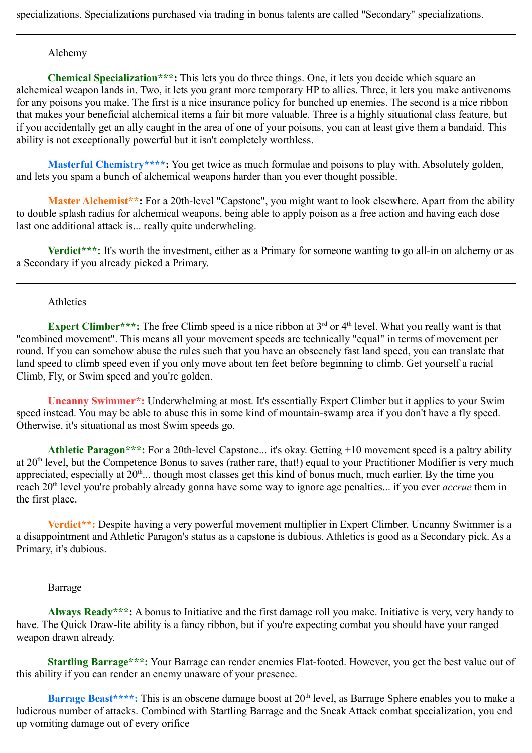# Alchemy

**Chemical Specialization\*\*\*:** This lets you do three things. One, it lets you decide which square an alchemical weapon lands in. Two, it lets you grant more temporary HP to allies. Three, it lets you make antivenoms for any poisons you make. The first is a nice insurance policy for bunched up enemies. The second is a nice ribbon that makes your beneficial alchemical items a fair bit more valuable. Three is a highly situational class feature, but if you accidentally get an ally caught in the area of one of your poisons, you can at least give them a bandaid. This ability is not exceptionally powerful but it isn't completely worthless.

**Masterful Chemistry\*\*\*\*:** You get twice as much formulae and poisons to play with. Absolutely golden, and lets you spam a bunch of alchemical weapons harder than you ever thought possible.

**Master Alchemist\*\*:** For a 20th-level "Capstone", you might want to look elsewhere. Apart from the ability to double splash radius for alchemical weapons, being able to apply poison as a free action and having each dose last one additional attack is... really quite underwheling.

**Verdict\*\*\*:** It's worth the investment, either as a Primary for someone wanting to go all-in on alchemy or as a Secondary if you already picked a Primary.

### Athletics

**Expert Climber\*\*\*:** The free Climb speed is a nice ribbon at 3<sup>rd</sup> or 4<sup>th</sup> level. What you really want is that "combined movement". This means all your movement speeds are technically "equal" in terms of movement per round. If you can somehow abuse the rules such that you have an obscenely fast land speed, you can translate that land speed to climb speed even if you only move about ten feet before beginning to climb. Get yourself a racial Climb, Fly, or Swim speed and you're golden.

**Uncanny Swimmer\*:** Underwhelming at most. It's essentially Expert Climber but it applies to your Swim speed instead. You may be able to abuse this in some kind of mountain-swamp area if you don't have a fly speed. Otherwise, it's situational as most Swim speeds go.

**Athletic Paragon\*\*\*:** For a 20th-level Capstone... it's okay. Getting +10 movement speed is a paltry ability at 20<sup>th</sup> level, but the Competence Bonus to saves (rather rare, that!) equal to your Practitioner Modifier is very much appreciated, especially at  $20<sup>th</sup>$ ... though most classes get this kind of bonus much, much earlier. By the time you reach 20<sup>th</sup> level you're probably already gonna have some way to ignore age penalties... if you ever *accrue* them in the first place.

**Verdict\*\*:** Despite having a very powerful movement multiplier in Expert Climber, Uncanny Swimmer is a a disappointment and Athletic Paragon's status as a capstone is dubious. Athletics is good as a Secondary pick. As a Primary, it's dubious.

#### Barrage

**Always Ready\*\*\*:** A bonus to Initiative and the first damage roll you make. Initiative is very, very handy to have. The Quick Draw-lite ability is a fancy ribbon, but if you're expecting combat you should have your ranged weapon drawn already.

**Startling Barrage\*\*\*:** Your Barrage can render enemies Flat-footed. However, you get the best value out of this ability if you can render an enemy unaware of your presence.

**Barrage Beast\*\*\*\*:** This is an obscene damage boost at 20<sup>th</sup> level, as Barrage Sphere enables you to make a ludicrous number of attacks. Combined with Startling Barrage and the Sneak Attack combat specialization, you end up vomiting damage out of every orifice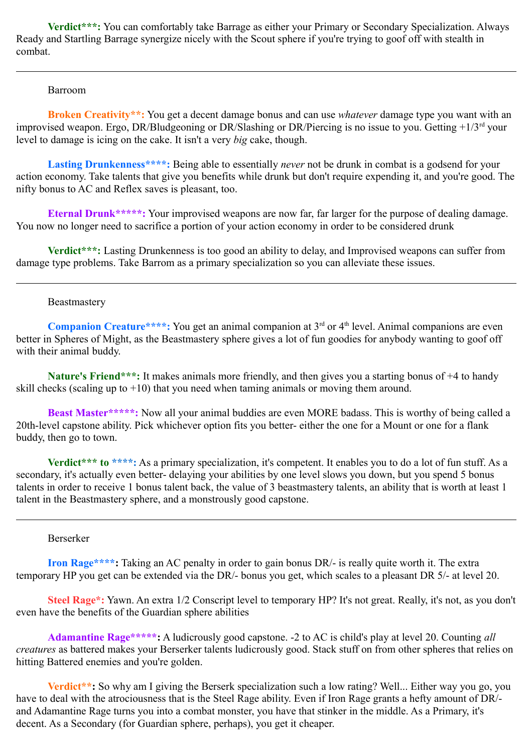**Verdict\*\*\*:** You can comfortably take Barrage as either your Primary or Secondary Specialization. Always Ready and Startling Barrage synergize nicely with the Scout sphere if you're trying to goof off with stealth in combat.

#### Barroom

**Broken Creativity\*\*:** You get a decent damage bonus and can use *whatever* damage type you want with an improvised weapon. Ergo, DR/Bludgeoning or DR/Slashing or DR/Piercing is no issue to you. Getting +1/3rd your level to damage is icing on the cake. It isn't a very *big* cake, though.

Lasting Drunkenness<sup>\*\*\*\*</sup>: Being able to essentially *never* not be drunk in combat is a godsend for your action economy. Take talents that give you benefits while drunk but don't require expending it, and you're good. The nifty bonus to AC and Reflex saves is pleasant, too.

**Eternal Drunk\*\*\*\*\*:** Your improvised weapons are now far, far larger for the purpose of dealing damage. You now no longer need to sacrifice a portion of your action economy in order to be considered drunk

**Verdict\*\*\*:** Lasting Drunkenness is too good an ability to delay, and Improvised weapons can suffer from damage type problems. Take Barrom as a primary specialization so you can alleviate these issues.

### Beastmastery

**Companion Creature\*\*\*\*:** You get an animal companion at 3<sup>rd</sup> or 4<sup>th</sup> level. Animal companions are even better in Spheres of Might, as the Beastmastery sphere gives a lot of fun goodies for anybody wanting to goof off with their animal buddy.

**Nature's Friend\*\*\*:** It makes animals more friendly, and then gives you a starting bonus of +4 to handy skill checks (scaling up to  $+10$ ) that you need when taming animals or moving them around.

**Beast Master\*\*\*\*\*:** Now all your animal buddies are even MORE badass. This is worthy of being called a 20th-level capstone ability. Pick whichever option fits you better- either the one for a Mount or one for a flank buddy, then go to town.

**Verdict\*\*\*** to \*\*\*\*: As a primary specialization, it's competent. It enables you to do a lot of fun stuff. As a secondary, it's actually even better- delaying your abilities by one level slows you down, but you spend 5 bonus talents in order to receive 1 bonus talent back, the value of 3 beastmastery talents, an ability that is worth at least 1 talent in the Beastmastery sphere, and a monstrously good capstone.

#### Berserker

**Iron Rage\*\*\*\*:** Taking an AC penalty in order to gain bonus DR/- is really quite worth it. The extra temporary HP you get can be extended via the DR/- bonus you get, which scales to a pleasant DR 5/- at level 20.

**Steel Rage\*:** Yawn. An extra 1/2 Conscript level to temporary HP? It's not great. Really, it's not, as you don't even have the benefits of the Guardian sphere abilities

**Adamantine Rage\*\*\*\*\*:** A ludicrously good capstone. -2 to AC is child's play at level 20. Counting *all creatures* as battered makes your Berserker talents ludicrously good. Stack stuff on from other spheres that relies on hitting Battered enemies and you're golden.

**Verdict\*\*:** So why am I giving the Berserk specialization such a low rating? Well... Either way you go, you have to deal with the atrociousness that is the Steel Rage ability. Even if Iron Rage grants a hefty amount of DR/ and Adamantine Rage turns you into a combat monster, you have that stinker in the middle. As a Primary, it's decent. As a Secondary (for Guardian sphere, perhaps), you get it cheaper.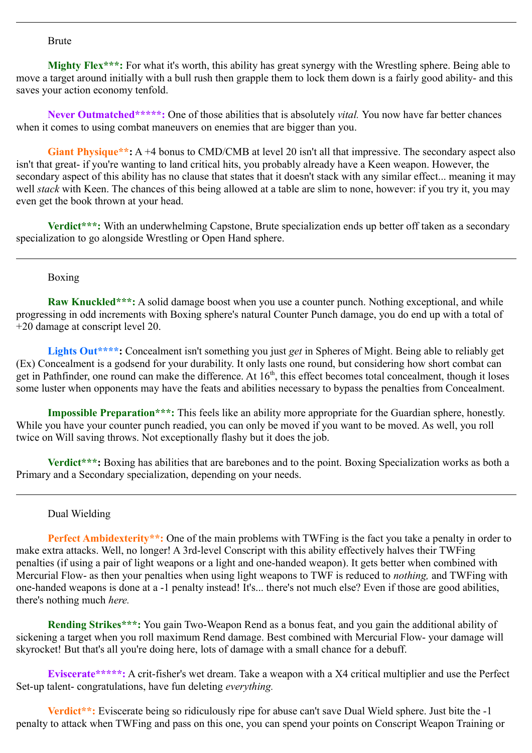### Brute

**Mighty Flex\*\*\*:** For what it's worth, this ability has great synergy with the Wrestling sphere. Being able to move a target around initially with a bull rush then grapple them to lock them down is a fairly good ability- and this saves your action economy tenfold.

**Never Outmatched\*\*\*\*\*:** One of those abilities that is absolutely *vital.* You now have far better chances when it comes to using combat maneuvers on enemies that are bigger than you.

**Giant Physique\*\*:** A +4 bonus to CMD/CMB at level 20 isn't all that impressive. The secondary aspect also isn't that great- if you're wanting to land critical hits, you probably already have a Keen weapon. However, the secondary aspect of this ability has no clause that states that it doesn't stack with any similar effect... meaning it may well *stack* with Keen. The chances of this being allowed at a table are slim to none, however: if you try it, you may even get the book thrown at your head.

**Verdict\*\*\*:** With an underwhelming Capstone, Brute specialization ends up better off taken as a secondary specialization to go alongside Wrestling or Open Hand sphere.

### Boxing

**Raw Knuckled\*\*\*:** A solid damage boost when you use a counter punch. Nothing exceptional, and while progressing in odd increments with Boxing sphere's natural Counter Punch damage, you do end up with a total of +20 damage at conscript level 20.

**Lights Out\*\*\*\*:** Concealment isn't something you just *get* in Spheres of Might. Being able to reliably get (Ex) Concealment is a godsend for your durability. It only lasts one round, but considering how short combat can get in Pathfinder, one round can make the difference. At  $16<sup>th</sup>$ , this effect becomes total concealment, though it loses some luster when opponents may have the feats and abilities necessary to bypass the penalties from Concealment.

**Impossible Preparation\*\*\*:** This feels like an ability more appropriate for the Guardian sphere, honestly. While you have your counter punch readied, you can only be moved if you want to be moved. As well, you roll twice on Will saving throws. Not exceptionally flashy but it does the job.

**Verdict\*\*\*:** Boxing has abilities that are barebones and to the point. Boxing Specialization works as both a Primary and a Secondary specialization, depending on your needs.

# Dual Wielding

**Perfect Ambidexterity\*\*:** One of the main problems with TWFing is the fact you take a penalty in order to make extra attacks. Well, no longer! A 3rd-level Conscript with this ability effectively halves their TWFing penalties (if using a pair of light weapons or a light and one-handed weapon). It gets better when combined with Mercurial Flow- as then your penalties when using light weapons to TWF is reduced to *nothing,* and TWFing with one-handed weapons is done at a -1 penalty instead! It's... there's not much else? Even if those are good abilities, there's nothing much *here.*

**Rending Strikes\*\*\*:** You gain Two-Weapon Rend as a bonus feat, and you gain the additional ability of sickening a target when you roll maximum Rend damage. Best combined with Mercurial Flow- your damage will skyrocket! But that's all you're doing here, lots of damage with a small chance for a debuff.

**Eviscerate\*\*\*\*\*:** A crit-fisher's wet dream. Take a weapon with a X4 critical multiplier and use the Perfect Set-up talent- congratulations, have fun deleting *everything.*

**Verdict\*\*:** Eviscerate being so ridiculously ripe for abuse can't save Dual Wield sphere. Just bite the -1 penalty to attack when TWFing and pass on this one, you can spend your points on Conscript Weapon Training or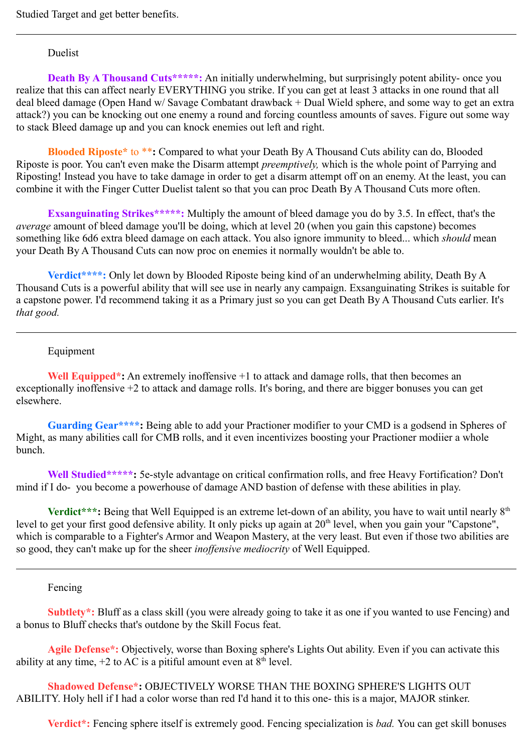### Duelist

**Death By A Thousand Cuts\*\*\*\*\*:** An initially underwhelming, but surprisingly potent ability- once you realize that this can affect nearly EVERYTHING you strike. If you can get at least 3 attacks in one round that all deal bleed damage (Open Hand w/ Savage Combatant drawback + Dual Wield sphere, and some way to get an extra attack?) you can be knocking out one enemy a round and forcing countless amounts of saves. Figure out some way to stack Bleed damage up and you can knock enemies out left and right.

**Blooded Riposte\*** to \*\***:** Compared to what your Death By A Thousand Cuts ability can do, Blooded Riposte is poor. You can't even make the Disarm attempt *preemptively,* which is the whole point of Parrying and Riposting! Instead you have to take damage in order to get a disarm attempt off on an enemy. At the least, you can combine it with the Finger Cutter Duelist talent so that you can proc Death By A Thousand Cuts more often.

**Exsanguinating Strikes\*\*\*\*\*:** Multiply the amount of bleed damage you do by 3.5. In effect, that's the *average* amount of bleed damage you'll be doing, which at level 20 (when you gain this capstone) becomes something like 6d6 extra bleed damage on each attack. You also ignore immunity to bleed... which *should* mean your Death By A Thousand Cuts can now proc on enemies it normally wouldn't be able to.

**Verdict\*\*\*\*:** Only let down by Blooded Riposte being kind of an underwhelming ability, Death By A Thousand Cuts is a powerful ability that will see use in nearly any campaign. Exsanguinating Strikes is suitable for a capstone power. I'd recommend taking it as a Primary just so you can get Death By A Thousand Cuts earlier. It's *that good.*

### Equipment

**Well Equipped\*:** An extremely inoffensive +1 to attack and damage rolls, that then becomes an exceptionally inoffensive +2 to attack and damage rolls. It's boring, and there are bigger bonuses you can get elsewhere.

**Guarding Gear\*\*\*\*:** Being able to add your Practioner modifier to your CMD is a godsend in Spheres of Might, as many abilities call for CMB rolls, and it even incentivizes boosting your Practioner modiier a whole bunch.

**Well Studied\*\*\*\*\*:** 5e-style advantage on critical confirmation rolls, and free Heavy Fortification? Don't mind if I do- you become a powerhouse of damage AND bastion of defense with these abilities in play.

**Verdict\*\*\*:** Being that Well Equipped is an extreme let-down of an ability, you have to wait until nearly  $8<sup>th</sup>$ level to get your first good defensive ability. It only picks up again at  $20<sup>th</sup>$  level, when you gain your "Capstone". which is comparable to a Fighter's Armor and Weapon Mastery, at the very least. But even if those two abilities are so good, they can't make up for the sheer *inoffensive mediocrity* of Well Equipped.

Fencing

**Subtlety\*:** Bluff as a class skill (you were already going to take it as one if you wanted to use Fencing) and a bonus to Bluff checks that's outdone by the Skill Focus feat.

**Agile Defense\*:** Objectively, worse than Boxing sphere's Lights Out ability. Even if you can activate this ability at any time,  $+2$  to AC is a pitiful amount even at  $8<sup>th</sup>$  level.

**Shadowed Defense\*:** OBJECTIVELY WORSE THAN THE BOXING SPHERE'S LIGHTS OUT ABILITY. Holy hell if I had a color worse than red I'd hand it to this one- this is a major, MAJOR stinker.

**Verdict\*:** Fencing sphere itself is extremely good. Fencing specialization is *bad.* You can get skill bonuses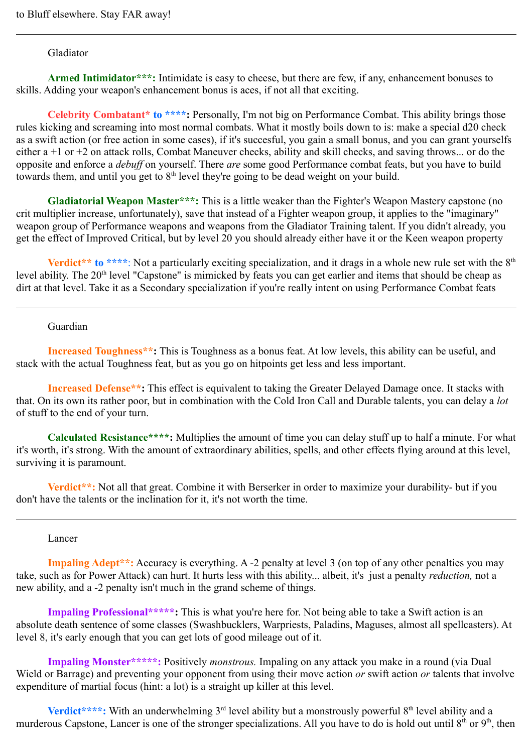### Gladiator

Armed Intimidator\*\*\*: Intimidate is easy to cheese, but there are few, if any, enhancement bonuses to skills. Adding your weapon's enhancement bonus is aces, if not all that exciting.

**Celebrity Combatant\* to \*\*\*\*:** Personally, I'm not big on Performance Combat. This ability brings those rules kicking and screaming into most normal combats. What it mostly boils down to is: make a special d20 check as a swift action (or free action in some cases), if it's succesful, you gain a small bonus, and you can grant yourselfs either a +1 or +2 on attack rolls, Combat Maneuver checks, ability and skill checks, and saving throws... or do the opposite and enforce a *debuff* on yourself. There *are* some good Performance combat feats, but you have to build towards them, and until you get to  $8<sup>th</sup>$  level they're going to be dead weight on your build.

**Gladiatorial Weapon Master\*\*\*:** This is a little weaker than the Fighter's Weapon Mastery capstone (no crit multiplier increase, unfortunately), save that instead of a Fighter weapon group, it applies to the "imaginary" weapon group of Performance weapons and weapons from the Gladiator Training talent. If you didn't already, you get the effect of Improved Critical, but by level 20 you should already either have it or the Keen weapon property

**Verdict\*\*** to \*\*\*\*: Not a particularly exciting specialization, and it drags in a whole new rule set with the 8<sup>th</sup> level ability. The 20<sup>th</sup> level "Capstone" is mimicked by feats you can get earlier and items that should be cheap as dirt at that level. Take it as a Secondary specialization if you're really intent on using Performance Combat feats

### Guardian

**Increased Toughness\*\*:** This is Toughness as a bonus feat. At low levels, this ability can be useful, and stack with the actual Toughness feat, but as you go on hitpoints get less and less important.

**Increased Defense\*\*:** This effect is equivalent to taking the Greater Delayed Damage once. It stacks with that. On its own its rather poor, but in combination with the Cold Iron Call and Durable talents, you can delay a *lot*  of stuff to the end of your turn.

**Calculated Resistance\*\*\*\*:** Multiplies the amount of time you can delay stuff up to half a minute. For what it's worth, it's strong. With the amount of extraordinary abilities, spells, and other effects flying around at this level, surviving it is paramount.

**Verdict\*\*:** Not all that great. Combine it with Berserker in order to maximize your durability- but if you don't have the talents or the inclination for it, it's not worth the time.

### Lancer

**Impaling Adept\*\*:** Accuracy is everything. A -2 penalty at level 3 (on top of any other penalties you may take, such as for Power Attack) can hurt. It hurts less with this ability... albeit, it's just a penalty *reduction,* not a new ability, and a -2 penalty isn't much in the grand scheme of things.

**Impaling Professional\*\*\*\*\*:** This is what you're here for. Not being able to take a Swift action is an absolute death sentence of some classes (Swashbucklers, Warpriests, Paladins, Maguses, almost all spellcasters). At level 8, it's early enough that you can get lots of good mileage out of it.

**Impaling Monster\*\*\*\*\*:** Positively *monstrous.* Impaling on any attack you make in a round (via Dual Wield or Barrage) and preventing your opponent from using their move action *or* swift action *or* talents that involve expenditure of martial focus (hint: a lot) is a straight up killer at this level.

**Verdict\*\*\*\*:** With an underwhelming 3<sup>rd</sup> level ability but a monstrously powerful 8<sup>th</sup> level ability and a murderous Capstone, Lancer is one of the stronger specializations. All you have to do is hold out until  $8<sup>th</sup>$  or  $9<sup>th</sup>$ , then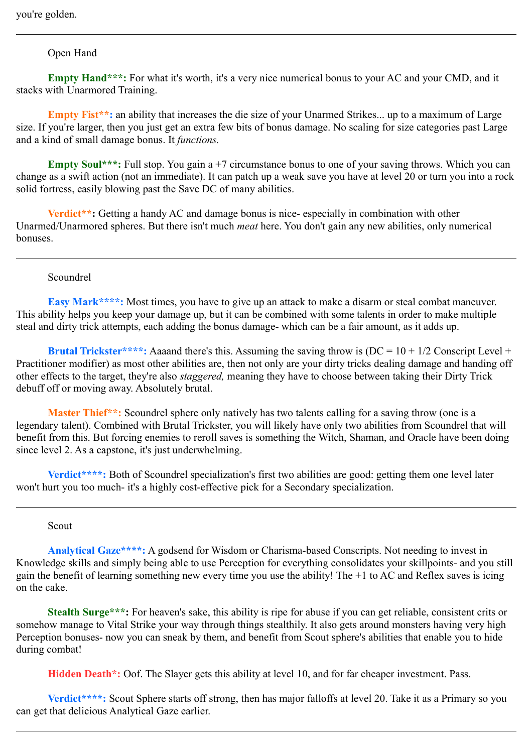# Open Hand

**Empty Hand\*\*\*:** For what it's worth, it's a very nice numerical bonus to your AC and your CMD, and it stacks with Unarmored Training.

**Empty Fist<sup>\*\*</sup>:** an ability that increases the die size of your Unarmed Strikes... up to a maximum of Large size. If you're larger, then you just get an extra few bits of bonus damage. No scaling for size categories past Large and a kind of small damage bonus. It *functions.* 

**Empty Soul\*\*\*:** Full stop. You gain a +7 circumstance bonus to one of your saving throws. Which you can change as a swift action (not an immediate). It can patch up a weak save you have at level 20 or turn you into a rock solid fortress, easily blowing past the Save DC of many abilities.

**Verdict<sup>\*\*</sup>:** Getting a handy AC and damage bonus is nice-especially in combination with other Unarmed/Unarmored spheres. But there isn't much *meat* here. You don't gain any new abilities, only numerical bonuses.

### Scoundrel

**Easy Mark\*\*\*\*:** Most times, you have to give up an attack to make a disarm or steal combat maneuver. This ability helps you keep your damage up, but it can be combined with some talents in order to make multiple steal and dirty trick attempts, each adding the bonus damage- which can be a fair amount, as it adds up.

**Brutal Trickster\*\*\*\*:** Aaaand there's this. Assuming the saving throw is  $(DC = 10 + 1/2 \text{ Construct } 1 +$ Practitioner modifier) as most other abilities are, then not only are your dirty tricks dealing damage and handing off other effects to the target, they're also *staggered,* meaning they have to choose between taking their Dirty Trick debuff off or moving away. Absolutely brutal.

**Master Thief\*\*:** Scoundrel sphere only natively has two talents calling for a saving throw (one is a legendary talent). Combined with Brutal Trickster, you will likely have only two abilities from Scoundrel that will benefit from this. But forcing enemies to reroll saves is something the Witch, Shaman, and Oracle have been doing since level 2. As a capstone, it's just underwhelming.

**Verdict\*\*\*\*:** Both of Scoundrel specialization's first two abilities are good: getting them one level later won't hurt you too much- it's a highly cost-effective pick for a Secondary specialization.

### Scout

**Analytical Gaze\*\*\*\*:** A godsend for Wisdom or Charisma-based Conscripts. Not needing to invest in Knowledge skills and simply being able to use Perception for everything consolidates your skillpoints- and you still gain the benefit of learning something new every time you use the ability! The +1 to AC and Reflex saves is icing on the cake.

**Stealth Surge\*\*\*:** For heaven's sake, this ability is ripe for abuse if you can get reliable, consistent crits or somehow manage to Vital Strike your way through things stealthily. It also gets around monsters having very high Perception bonuses- now you can sneak by them, and benefit from Scout sphere's abilities that enable you to hide during combat!

**Hidden Death\*:** Oof. The Slayer gets this ability at level 10, and for far cheaper investment. Pass.

**Verdict\*\*\*\*:** Scout Sphere starts off strong, then has major falloffs at level 20. Take it as a Primary so you can get that delicious Analytical Gaze earlier.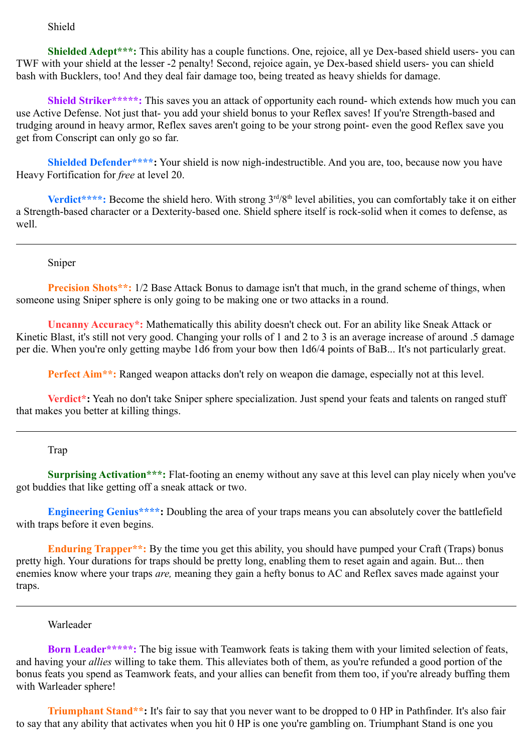### Shield

**Shielded Adept\*\*\*:** This ability has a couple functions. One, rejoice, all ye Dex-based shield users- you can TWF with your shield at the lesser -2 penalty! Second, rejoice again, ye Dex-based shield users- you can shield bash with Bucklers, too! And they deal fair damage too, being treated as heavy shields for damage.

**Shield Striker\*\*\*\*\*:** This saves you an attack of opportunity each round- which extends how much you can use Active Defense. Not just that- you add your shield bonus to your Reflex saves! If you're Strength-based and trudging around in heavy armor, Reflex saves aren't going to be your strong point- even the good Reflex save you get from Conscript can only go so far.

**Shielded Defender\*\*\*\*:** Your shield is now nigh-indestructible. And you are, too, because now you have Heavy Fortification for *free* at level 20.

**Verdict\*\*\*\*:** Become the shield hero. With strong 3<sup>rd</sup>/8<sup>th</sup> level abilities, you can comfortably take it on either a Strength-based character or a Dexterity-based one. Shield sphere itself is rock-solid when it comes to defense, as well.

Sniper

**Precision Shots\*\*:** 1/2 Base Attack Bonus to damage isn't that much, in the grand scheme of things, when someone using Sniper sphere is only going to be making one or two attacks in a round.

**Uncanny Accuracy\*:** Mathematically this ability doesn't check out. For an ability like Sneak Attack or Kinetic Blast, it's still not very good. Changing your rolls of 1 and 2 to 3 is an average increase of around .5 damage per die. When you're only getting maybe 1d6 from your bow then 1d6/4 points of BaB... It's not particularly great.

**Perfect Aim\*\*:** Ranged weapon attacks don't rely on weapon die damage, especially not at this level.

**Verdict\*:** Yeah no don't take Sniper sphere specialization. Just spend your feats and talents on ranged stuff that makes you better at killing things.

### Trap

**Surprising Activation\*\*\*:** Flat-footing an enemy without any save at this level can play nicely when you've got buddies that like getting off a sneak attack or two.

**Engineering Genius\*\*\*\*:** Doubling the area of your traps means you can absolutely cover the battlefield with traps before it even begins.

**Enduring Trapper\*\*:** By the time you get this ability, you should have pumped your Craft (Traps) bonus pretty high. Your durations for traps should be pretty long, enabling them to reset again and again. But... then enemies know where your traps *are,* meaning they gain a hefty bonus to AC and Reflex saves made against your traps.

# Warleader

**Born Leader\*\*\*\*\*:** The big issue with Teamwork feats is taking them with your limited selection of feats, and having your *allies* willing to take them. This alleviates both of them, as you're refunded a good portion of the bonus feats you spend as Teamwork feats, and your allies can benefit from them too, if you're already buffing them with Warleader sphere!

**Triumphant Stand\*\*:** It's fair to say that you never want to be dropped to 0 HP in Pathfinder. It's also fair to say that any ability that activates when you hit 0 HP is one you're gambling on. Triumphant Stand is one you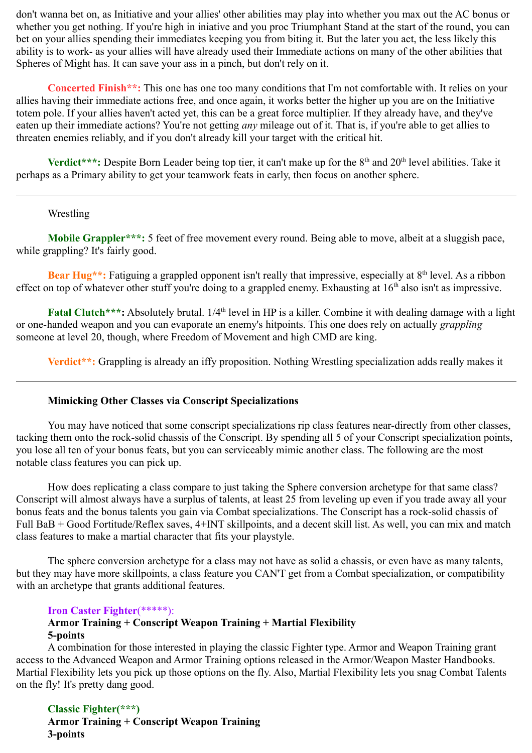don't wanna bet on, as Initiative and your allies' other abilities may play into whether you max out the AC bonus or whether you get nothing. If you're high in iniative and you proc Triumphant Stand at the start of the round, you can bet on your allies spending their immediates keeping you from biting it. But the later you act, the less likely this ability is to work- as your allies will have already used their Immediate actions on many of the other abilities that Spheres of Might has. It can save your ass in a pinch, but don't rely on it.

**Concerted Finish\*\*:** This one has one too many conditions that I'm not comfortable with. It relies on your allies having their immediate actions free, and once again, it works better the higher up you are on the Initiative totem pole. If your allies haven't acted yet, this can be a great force multiplier. If they already have, and they've eaten up their immediate actions? You're not getting *any* mileage out of it. That is, if you're able to get allies to threaten enemies reliably, and if you don't already kill your target with the critical hit.

**Verdict\*\*\*:** Despite Born Leader being top tier, it can't make up for the 8<sup>th</sup> and 20<sup>th</sup> level abilities. Take it perhaps as a Primary ability to get your teamwork feats in early, then focus on another sphere.

# Wrestling

**Mobile Grappler\*\*\*:** 5 feet of free movement every round. Being able to move, albeit at a sluggish pace, while grappling? It's fairly good.

**Bear Hug\*\*:** Fatiguing a grappled opponent isn't really that impressive, especially at 8<sup>th</sup> level. As a ribbon effect on top of whatever other stuff you're doing to a grappled enemy. Exhausting at  $16<sup>th</sup>$  also isn't as impressive.

**Fatal Clutch\*\*\*:** Absolutely brutal. 1/4<sup>th</sup> level in HP is a killer. Combine it with dealing damage with a light or one-handed weapon and you can evaporate an enemy's hitpoints. This one does rely on actually *grappling*  someone at level 20, though, where Freedom of Movement and high CMD are king.

**Verdict\*\*:** Grappling is already an iffy proposition. Nothing Wrestling specialization adds really makes it

# **Mimicking Other Classes via Conscript Specializations**

You may have noticed that some conscript specializations rip class features near-directly from other classes, tacking them onto the rock-solid chassis of the Conscript. By spending all 5 of your Conscript specialization points, you lose all ten of your bonus feats, but you can serviceably mimic another class. The following are the most notable class features you can pick up.

How does replicating a class compare to just taking the Sphere conversion archetype for that same class? Conscript will almost always have a surplus of talents, at least 25 from leveling up even if you trade away all your bonus feats and the bonus talents you gain via Combat specializations. The Conscript has a rock-solid chassis of Full BaB + Good Fortitude/Reflex saves, 4+INT skillpoints, and a decent skill list. As well, you can mix and match class features to make a martial character that fits your playstyle.

The sphere conversion archetype for a class may not have as solid a chassis, or even have as many talents, but they may have more skillpoints, a class feature you CAN'T get from a Combat specialization, or compatibility with an archetype that grants additional features.

### **Iron Caster Fighter**(\*\*\*\*\*):

# **Armor Training + Conscript Weapon Training + Martial Flexibility 5-points**

A combination for those interested in playing the classic Fighter type. Armor and Weapon Training grant access to the Advanced Weapon and Armor Training options released in the Armor/Weapon Master Handbooks. Martial Flexibility lets you pick up those options on the fly. Also, Martial Flexibility lets you snag Combat Talents on the fly! It's pretty dang good.

**Classic Fighter(\*\*\*) Armor Training + Conscript Weapon Training 3-points**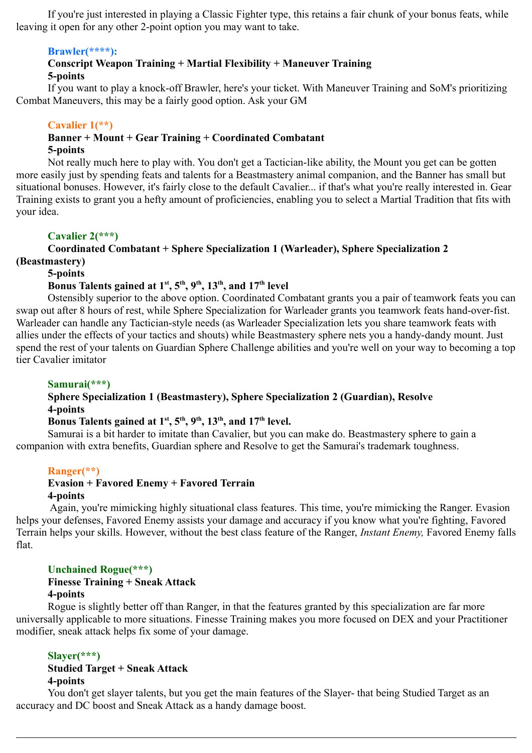If you're just interested in playing a Classic Fighter type, this retains a fair chunk of your bonus feats, while leaving it open for any other 2-point option you may want to take.

# **Brawler(\*\*\*\*):**

# **Conscript Weapon Training + Martial Flexibility + Maneuver Training 5-points**

If you want to play a knock-off Brawler, here's your ticket. With Maneuver Training and SoM's prioritizing Combat Maneuvers, this may be a fairly good option. Ask your GM

# **Cavalier 1(\*\*)**

### **Banner + Mount + Gear Training + Coordinated Combatant 5-points**

Not really much here to play with. You don't get a Tactician-like ability, the Mount you get can be gotten more easily just by spending feats and talents for a Beastmastery animal companion, and the Banner has small but situational bonuses. However, it's fairly close to the default Cavalier... if that's what you're really interested in. Gear Training exists to grant you a hefty amount of proficiencies, enabling you to select a Martial Tradition that fits with your idea.

# **Cavalier 2(\*\*\*)**

# **Coordinated Combatant + Sphere Specialization 1 (Warleader), Sphere Specialization 2**

**(Beastmastery)**

# **5-points**

# **Bonus Talents gained at**  $1<sup>st</sup>$ **,**  $5<sup>th</sup>$ **,**  $9<sup>th</sup>$ **,**  $13<sup>th</sup>$ **, and**  $17<sup>th</sup>$  **level**

Ostensibly superior to the above option. Coordinated Combatant grants you a pair of teamwork feats you can swap out after 8 hours of rest, while Sphere Specialization for Warleader grants you teamwork feats hand-over-fist. Warleader can handle any Tactician-style needs (as Warleader Specialization lets you share teamwork feats with allies under the effects of your tactics and shouts) while Beastmastery sphere nets you a handy-dandy mount. Just spend the rest of your talents on Guardian Sphere Challenge abilities and you're well on your way to becoming a top tier Cavalier imitator

# **Samurai(\*\*\*)**

# **Sphere Specialization 1 (Beastmastery), Sphere Specialization 2 (Guardian), Resolve 4-points**

# **Bonus Talents gained at**  $1^{st}$ **,**  $5^{th}$ **,**  $9^{th}$ **,**  $13^{th}$ **, and**  $17^{th}$  **level.**

Samurai is a bit harder to imitate than Cavalier, but you can make do. Beastmastery sphere to gain a companion with extra benefits, Guardian sphere and Resolve to get the Samurai's trademark toughness.

# **Ranger(\*\*)**

# **Evasion + Favored Enemy + Favored Terrain 4-points**

Again, you're mimicking highly situational class features. This time, you're mimicking the Ranger. Evasion helps your defenses, Favored Enemy assists your damage and accuracy if you know what you're fighting, Favored Terrain helps your skills. However, without the best class feature of the Ranger, *Instant Enemy,* Favored Enemy falls flat.

# **Unchained Rogue(\*\*\*)**

### **Finesse Training + Sneak Attack 4-points**

Rogue is slightly better off than Ranger, in that the features granted by this specialization are far more universally applicable to more situations. Finesse Training makes you more focused on DEX and your Practitioner modifier, sneak attack helps fix some of your damage.

# **Slayer(\*\*\*)**

# **Studied Target + Sneak Attack 4-points**

You don't get slayer talents, but you get the main features of the Slayer- that being Studied Target as an accuracy and DC boost and Sneak Attack as a handy damage boost.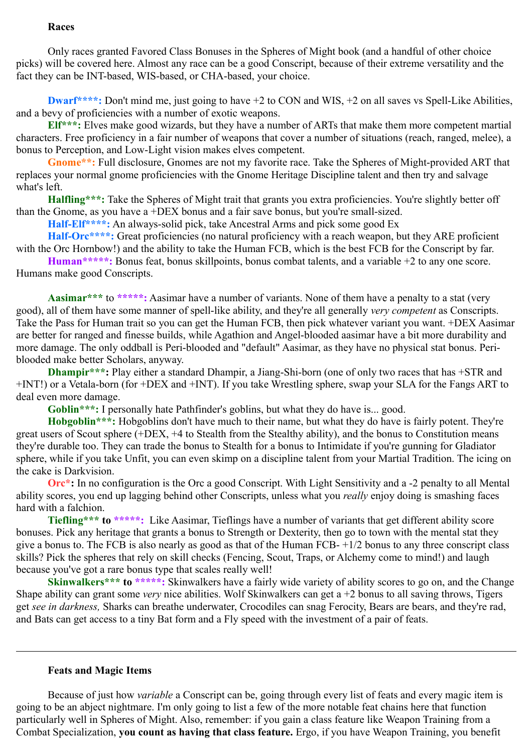### **Races**

Only races granted Favored Class Bonuses in the Spheres of Might book (and a handful of other choice picks) will be covered here. Almost any race can be a good Conscript, because of their extreme versatility and the fact they can be INT-based, WIS-based, or CHA-based, your choice.

**Dwarf\*\*\*\*:** Don't mind me, just going to have +2 to CON and WIS, +2 on all saves vs Spell-Like Abilities, and a bevy of proficiencies with a number of exotic weapons.

**Elf\*\*\*:** Elves make good wizards, but they have a number of ARTs that make them more competent martial characters. Free proficiency in a fair number of weapons that cover a number of situations (reach, ranged, melee), a bonus to Perception, and Low-Light vision makes elves competent.

**Gnome\*\*:** Full disclosure, Gnomes are not my favorite race. Take the Spheres of Might-provided ART that replaces your normal gnome proficiencies with the Gnome Heritage Discipline talent and then try and salvage what's left.

**Halfling\*\*\*:** Take the Spheres of Might trait that grants you extra proficiencies. You're slightly better off than the Gnome, as you have a +DEX bonus and a fair save bonus, but you're small-sized.

**Half-Elf\*\*\*\*:** An always-solid pick, take Ancestral Arms and pick some good Ex

**Half-Orc\*\*\*\*:** Great proficiencies (no natural proficiency with a reach weapon, but they ARE proficient with the Orc Hornbow!) and the ability to take the Human FCB, which is the best FCB for the Conscript by far.

**Human\*\*\*\*\*:** Bonus feat, bonus skillpoints, bonus combat talents, and a variable +2 to any one score. Humans make good Conscripts.

**Aasimar\*\*\*** to **\*\*\*\*\*:** Aasimar have a number of variants. None of them have a penalty to a stat (very good), all of them have some manner of spell-like ability, and they're all generally *very competent* as Conscripts. Take the Pass for Human trait so you can get the Human FCB, then pick whatever variant you want. +DEX Aasimar are better for ranged and finesse builds, while Agathion and Angel-blooded aasimar have a bit more durability and more damage. The only oddball is Peri-blooded and "default" Aasimar, as they have no physical stat bonus. Periblooded make better Scholars, anyway.

**Dhampir\*\*\*:** Play either a standard Dhampir, a Jiang-Shi-born (one of only two races that has +STR and +INT!) or a Vetala-born (for +DEX and +INT). If you take Wrestling sphere, swap your SLA for the Fangs ART to deal even more damage.

Goblin<sup>\*\*\*</sup>: I personally hate Pathfinder's goblins, but what they do have is... good.

**Hobgoblin\*\*\*:** Hobgoblins don't have much to their name, but what they do have is fairly potent. They're great users of Scout sphere (+DEX, +4 to Stealth from the Stealthy ability), and the bonus to Constitution means they're durable too. They can trade the bonus to Stealth for a bonus to Intimidate if you're gunning for Gladiator sphere, while if you take Unfit, you can even skimp on a discipline talent from your Martial Tradition. The icing on the cake is Darkvision.

**Orc<sup>\*</sup>:** In no configuration is the Orc a good Conscript. With Light Sensitivity and a -2 penalty to all Mental ability scores, you end up lagging behind other Conscripts, unless what you *really* enjoy doing is smashing faces hard with a falchion.

**Tiefling\*\*\* to \*\*\*\*\*:** Like Aasimar, Tieflings have a number of variants that get different ability score bonuses. Pick any heritage that grants a bonus to Strength or Dexterity, then go to town with the mental stat they give a bonus to. The FCB is also nearly as good as that of the Human FCB- +1/2 bonus to any three conscript class skills? Pick the spheres that rely on skill checks (Fencing, Scout, Traps, or Alchemy come to mind!) and laugh because you've got a rare bonus type that scales really well!

**Skinwalkers\*\*\*** to \*\*\*\*\*: Skinwalkers have a fairly wide variety of ability scores to go on, and the Change Shape ability can grant some *very* nice abilities. Wolf Skinwalkers can get a +2 bonus to all saving throws, Tigers get *see in darkness,* Sharks can breathe underwater, Crocodiles can snag Ferocity, Bears are bears, and they're rad, and Bats can get access to a tiny Bat form and a Fly speed with the investment of a pair of feats.

#### **Feats and Magic Items**

 Because of just how *variable* a Conscript can be, going through every list of feats and every magic item is going to be an abject nightmare. I'm only going to list a few of the more notable feat chains here that function particularly well in Spheres of Might. Also, remember: if you gain a class feature like Weapon Training from a Combat Specialization, **you count as having that class feature.** Ergo, if you have Weapon Training, you benefit